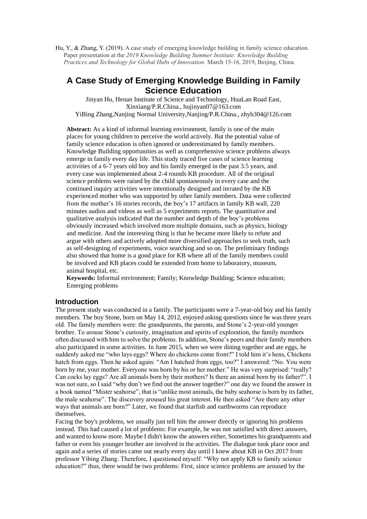Hu, Y., & Zhang, Y. (2019). A case study of emerging knowledge building in family science education. Paper presentation at the *2019 Knowledge Building Summer Institute: Knowledge Building Practices and Technology for Global Hubs of Innovation.* March 15-16, 2019, Beijing, China.

# **A Case Study of Emerging Knowledge Building in Family Science Education**

Jinyan Hu, Henan Institute of Science and Technology, HuaLan Road East, Xinxiang/P.R.China., hujinyan07@163.com YiBing Zhang,Nanjing Normal University,Nanjing/P.R.China., zhyb304@126.com

**Abstract:** As a kind of informal learning environment, family is one of the main places for young children to perceive the world actively. But the potential value of family science education is often ignored or underestimated by family members. Knowledge Building opportunities as well as comprehensive science problems always emerge in family every day life. This study traced five cases of science learning activities of a 6-7 years old boy and his family emerged in the past 3.5 years, and every case was implemented about 2-4 rounds KB procedure. All of the original science problems were raised by the child spontaneously in every case and the continued inquiry activities were intentionally designed and iterated by the KB experienced mother who was supported by other family members. Data were collected from the mother's 16 stories records, the boy's 17 artifacts in family KB wall, 220 minutes audios and videos as well as 5 experiments reports. The quantitative and qualitative analysis indicated that the number and depth of the boy's problems obviously increased which involved more multiple domains, such as physics, biology and medicine. And the interesting thing is that he became more likely to refute and argue with others and actively adopted more diversified approaches to seek truth, such as self-designing of experiments, voice searching and so on. The preliminary findings also showed that home is a good place for KB where all of the family members could be involved and KB places could be extended from home to laboratory, museum, animal hospital, etc.

**Keywords:** Informal environment; Family; Knowledge Building; Science education; Emerging problems

#### **Introduction**

The present study was conducted in a family. The participants were a 7-year-old boy and his family members. The boy Stone, born on May 14, 2012, enjoyed asking questions since he was three years old. The family members were: the grandparents, the parents, and Stone's 2-year-old younger brother. To arouse Stone's curiosity, imagination and spirits of exploration, the family members often discussed with him to solve the problems. In addition, Stone's peers and their family members also participated in some activities. In June 2015, when we were dining together and ate eggs, he suddenly asked me "who lays eggs? Where do chickens come from?" I told him it's hens, Chickens hatch from eggs. Then he asked again: "Am I hatched from eggs, too?" I answered: "No. You were born by me, your mother. Everyone was born by his or her mother." He was very surprised: "really? Can cocks lay eggs? Are all animals born by their mothers? Is there an animal born by its father?". I was not sure, so I said "why don't we find out the answer together?" one day we found the answer in a book named "Mister seahorse", that is "unlike most animals, the baby seahorse is born by its father, the male seahorse". The discovery aroused his great interest. He then asked "Are there any other ways that animals are born?" Later, we found that starfish and earthworms can reproduce themselves.

Facing the boy's problems, we usually just tell him the answer directly or ignoring his problems instead. This had caused a lot of problems: For example, he was not satisfied with direct answers, and wanted to know more. Maybe I didn't know the answers either, Sometimes his grandparents and father or even his younger brother are involved in the activities. The dialogue took place once and again and a series of stories came out nearly every day until I knew about KB in Oct 2017 from professor Yibing Zhang. Therefore, I questioned myself: "Why not apply KB to family science education?" thus, there would be two problems: First, since science problems are aroused by the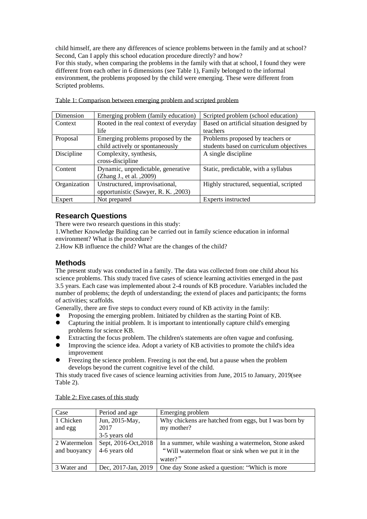child himself, are there any differences of science problems between in the family and at school? Second, Can I apply this school education procedure directly? and how? For this study, when comparing the problems in the family with that at school, I found they were different from each other in 6 dimensions (see Table 1), Family belonged to the informal environment, the problems proposed by the child were emerging. These were different from Scripted problems.

| Dimension    | Emerging problem (family education)    | Scripted problem (school education)       |
|--------------|----------------------------------------|-------------------------------------------|
| Context      | Rooted in the real context of everyday | Based on artificial situation designed by |
|              | life                                   | teachers                                  |
| Proposal     | Emerging problems proposed by the      | Problems proposed by teachers or          |
|              | child actively or spontaneously        | students based on curriculum objectives   |
| Discipline   | Complexity, synthesis,                 | A single discipline                       |
|              | cross-discipline                       |                                           |
| Content      | Dynamic, unpredictable, generative     | Static, predictable, with a syllabus      |
|              | (Zhang J., et al., 2009)               |                                           |
| Organization | Unstructured, improvisational,         | Highly structured, sequential, scripted   |
|              | opportunistic (Sawyer, R. K., 2003)    |                                           |
| Expert       | Not prepared                           | Experts instructed                        |

| Table 1: Comparison between emerging problem and scripted problem |  |  |
|-------------------------------------------------------------------|--|--|
|                                                                   |  |  |

# **Research Questions**

There were two research questions in this study:

1.Whether Knowledge Building can be carried out in family science education in informal environment? What is the procedure?

2.How KB influence the child? What are the changes of the child?

# **Methods**

The present study was conducted in a family. The data was collected from one child about his science problems. This study traced five cases of science learning activities emerged in the past 3.5 years. Each case was implemented about 2-4 rounds of KB procedure. Variables included the number of problems; the depth of understanding; the extend of places and participants; the forms of activities; scaffolds.

Generally, there are five steps to conduct every round of KB activity in the family:

- Proposing the emerging problem. Initiated by children as the starting Point of KB.<br>
Canturing the initial problem. It is important to intentionally canture child's emergi
- ⚫ Capturing the initial problem. It is important to intentionally capture child's emerging problems for science KB.
- Extracting the focus problem. The children's statements are often vague and confusing.<br>● Improving the science idea. Adopt a variety of KB activities to promote the child's idea
- ⚫ Improving the science idea. Adopt a variety of KB activities to promote the child's idea improvement
- Freezing the science problem. Freezing is not the end, but a pause when the problem develops beyond the current cognitive level of the child.

This study traced five cases of science learning activities from June, 2015 to January, 2019(see Table 2).

| Case         | Period and age       | Emerging problem                                      |
|--------------|----------------------|-------------------------------------------------------|
| 1 Chicken    | Jun, 2015-May,       | Why chickens are hatched from eggs, but I was born by |
| and egg      | 2017                 | my mother?                                            |
|              | 3-5 years old        |                                                       |
| 2 Watermelon | Sept, 2016-Oct, 2018 | In a summer, while washing a watermelon, Stone asked  |
| and buoyancy | 4-6 years old        | "Will watermelon float or sink when we put it in the  |
|              |                      | water?"                                               |
| 3 Water and  | Dec, 2017-Jan, 2019  | One day Stone asked a question: "Which is more        |

Table 2: Five cases of this study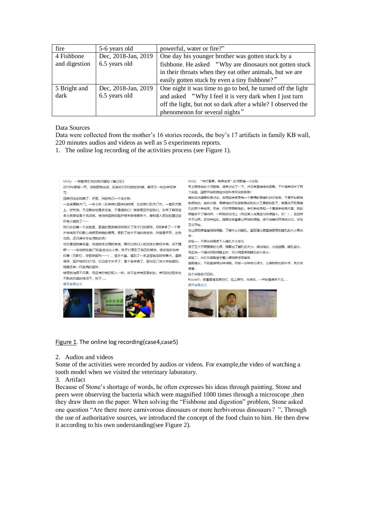| fire          | 5-6 years old       | powerful, water or fire?"                                    |
|---------------|---------------------|--------------------------------------------------------------|
| 4 Fishbone    | Dec, 2018-Jan, 2019 | One day his younger brother was gotten stuck by a            |
| and digestion | 6.5 years old       | fishbone. He asked "Why are dinosaurs not gotten stuck       |
|               |                     | in their throats when they eat other animals, but we are     |
|               |                     | easily gotten stuck by even a tiny fishbone?"                |
| 5 Bright and  | Dec, 2018-Jan, 2019 | One night it was time to go to bed, he turned off the light  |
| dark          | 6.5 years old       | and asked "Why I feel it is very dark when I just turn       |
|               |                     | off the light, but not so dark after a while? I observed the |
|               |                     | phenomenon for several nights"                               |

Data Sources

Data were collected from the mother's 16 stories records, the boy's 17 artifacts in family KB wall, 220 minutes audios and videos as well as 5 experiments reports.

1. The online log recording of the activities process (see Figure 1).



Figure 1. The online log recording(case4,case5)

2. Audios and videos

Some of the activities were recorded by audios or videos. For example,the video of watching a tooth model when we visited the veterinary laboratory.

3. Artifact

Because of Stone's shortage of words, he often expresses his ideas through painting. Stone and peers were observing the bacteria which were magnified 1000 times through a microscope ,then they draw them on the paper. When solving the "Fishbone and digestion" problem, Stone asked one question "Are there more carnivorous dinosaurs or more herbivorous dinosaurs?", Through the use of authoritative sources, we introduced the concept of the food chain to him. He then drew it according to his own understanding(see Figure 2).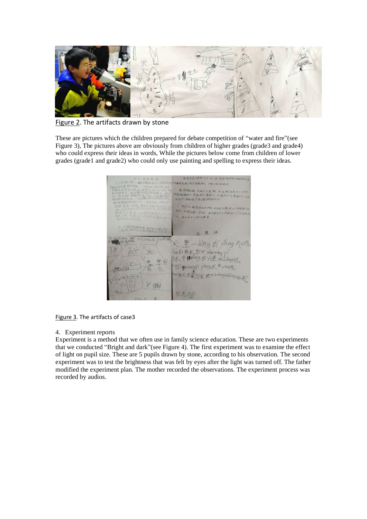

Figure 2. The artifacts drawn by stone

These are pictures which the children prepared for debate competition of "water and fire"(see Figure 3), The pictures above are obviously from children of higher grades (grade3 and grade4) who could express their ideas in words, While the pictures below come from children of lower grades (grade1 and grade2) who could only use painting and spelling to express their ideas.



Figure 3. The artifacts of case3

#### 4. Experiment reports

Experiment is a method that we often use in family science education. These are two experiments that we conducted "Bright and dark"(see Figure 4). The first experiment was to examine the effect of light on pupil size. These are 5 pupils drawn by stone, according to his observation. The second experiment was to test the brightness that was felt by eyes after the light was turned off. The father modified the experiment plan. The mother recorded the observations. The experiment process was recorded by audios.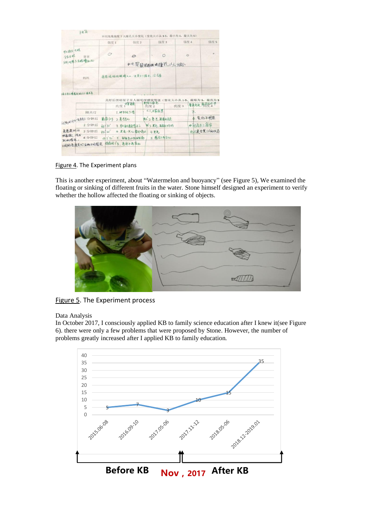|                 |               | 强度 1       | 强度 2                 | 强度 3           |     | 强度 5<br>强度 4                        |
|-----------------|---------------|------------|----------------------|----------------|-----|-------------------------------------|
| 网络陆 只眼<br>分左右眼  | 设置            |            | $\circ$              |                |     | $\circ$                             |
| 分别观察去右眼瞳孔划      |               |            |                      | 4电筒照卷机眼睛壁孔人人规小 |     |                                     |
|                 | 如马尔马          |            | 著爸说妈妈眼睛太小,还变不了强烈,没法看 |                |     |                                     |
| 将马可以将看到的大小画家来。  |               |            |                      |                |     | 关灯后黑暗屋子里人眼明度感觉等级(变化大小从1-5,最暗为1,最亮为5 |
|                 |               |            | 亮度 1984年             | 計室灯長老<br>亮度 2  | 亮度3 | 著角亮度 海南部十一千                         |
|                 | 刚关灯           |            | 1. 伊手祝 5 指           | <1.比範記票        |     | 3.                                  |
| 间隔的利率资金1分钟后     |               | 数数加多       | 2.幕蓋九                | 细 工壳点, 航南利全部   |     | 4. 菱化不明显                            |
|                 | 2 分钟后         | 45130''    | 3. 形着兄春美男子了          | 制 3 更高, 距静 妈妈  |     | 中间再关上面帘                             |
| 各省建议让           | 3 分钟后         | $432 - 20$ | 4.更老一点儿都快新           | 4更亮            |     | 也不是全黑(1)两状态                         |
| 他教教、说出<br>紀的感觉, | 4分钟后          |            | 约250 5. 驱射高小物品靶廊     | 5 卷瓷不再设化       |     |                                     |
|                 | 不同的危度美灯后的不同感受 |            | 特候到了多, 亮度不再最化        |                |     |                                     |

Figure 4. The Experiment plans

This is another experiment, about "Watermelon and buoyancy" (see Figure 5), We examined the floating or sinking of different fruits in the water. Stone himself designed an experiment to verify whether the hollow affected the floating or sinking of objects.



Figure 5. The Experiment process

Data Analysis

In October 2017, I consciously applied KB to family science education after I knew it(see Figure 6). there were only a few problems that were proposed by Stone. However, the number of problems greatly increased after I applied KB to family education.

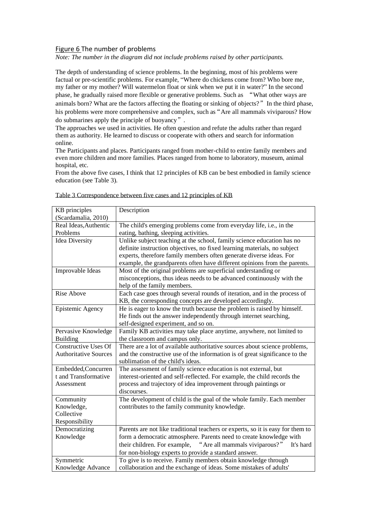#### Figure 6 The number of problems

*Note: The number in the diagram did not include problems raised by other participants.*

The depth of understanding of science problems. In the beginning, most of his problems were factual or pre-scientific problems. For example, "Where do chickens come from? Who bore me, my father or my mother? Will watermelon float or sink when we put it in water?" In the second phase, he gradually raised more flexible or generative problems. Such as "What other ways are animals born? What are the factors affecting the floating or sinking of objects?" In the third phase, his problems were more comprehensive and complex, such as "Are all mammals viviparous? How do submarines apply the principle of buoyancy".

The approaches we used in activities. He often question and refute the adults rather than regard them as authority. He learned to discuss or cooperate with others and search for information online.

The Participants and places. Participants ranged from mother-child to entire family members and even more children and more families. Places ranged from home to laboratory, museum, animal hospital, etc.

From the above five cases, I think that 12 principles of KB can be best embodied in family science education (see Table 3).

| KB principles<br>(Scardamalia, 2010)                                                                        | Description                                                                     |  |  |
|-------------------------------------------------------------------------------------------------------------|---------------------------------------------------------------------------------|--|--|
| Real Ideas, Authentic                                                                                       | The child's emerging problems come from everyday life, i.e., in the             |  |  |
| Problems                                                                                                    |                                                                                 |  |  |
|                                                                                                             | eating, bathing, sleeping activities.                                           |  |  |
| <b>Idea Diversity</b>                                                                                       | Unlike subject teaching at the school, family science education has no          |  |  |
|                                                                                                             | definite instruction objectives, no fixed learning materials, no subject        |  |  |
|                                                                                                             | experts, therefore family members often generate diverse ideas. For             |  |  |
|                                                                                                             | example, the grandparents often have different opinions from the parents.       |  |  |
| Improvable Ideas                                                                                            | Most of the original problems are superficial understanding or                  |  |  |
|                                                                                                             | misconceptions, thus ideas needs to be advanced continuously with the           |  |  |
|                                                                                                             | help of the family members.                                                     |  |  |
| <b>Rise Above</b>                                                                                           | Each case goes through several rounds of iteration, and in the process of       |  |  |
|                                                                                                             | KB, the corresponding concepts are developed accordingly.                       |  |  |
| Epistemic Agency                                                                                            | He is eager to know the truth because the problem is raised by himself.         |  |  |
|                                                                                                             | He finds out the answer independently through internet searching,               |  |  |
|                                                                                                             | self-designed experiment, and so on.                                            |  |  |
| Pervasive Knowledge                                                                                         | Family KB activities may take place anytime, anywhere, not limited to           |  |  |
| <b>Building</b>                                                                                             | the classroom and campus only.                                                  |  |  |
| <b>Constructive Uses Of</b>                                                                                 | There are a lot of available authoritative sources about science problems,      |  |  |
| <b>Authoritative Sources</b><br>and the constructive use of the information is of great significance to the |                                                                                 |  |  |
|                                                                                                             | sublimation of the child's ideas.                                               |  |  |
| Embedded, Concurren                                                                                         | The assessment of family science education is not external, but                 |  |  |
| t and Transformative                                                                                        | interest-oriented and self-reflected. For example, the child records the        |  |  |
| Assessment                                                                                                  | process and trajectory of idea improvement through paintings or                 |  |  |
|                                                                                                             | discourses.                                                                     |  |  |
| Community                                                                                                   | The development of child is the goal of the whole family. Each member           |  |  |
| Knowledge,                                                                                                  | contributes to the family community knowledge.                                  |  |  |
| Collective                                                                                                  |                                                                                 |  |  |
| Responsibility                                                                                              |                                                                                 |  |  |
| Democratizing                                                                                               | Parents are not like traditional teachers or experts, so it is easy for them to |  |  |
| Knowledge                                                                                                   | form a democratic atmosphere. Parents need to create knowledge with             |  |  |
|                                                                                                             | their children. For example,<br>"Are all mammals viviparous?"<br>It's hard      |  |  |
|                                                                                                             | for non-biology experts to provide a standard answer.                           |  |  |
| Symmetric                                                                                                   | To give is to receive. Family members obtain knowledge through                  |  |  |
| Knowledge Advance                                                                                           | collaboration and the exchange of ideas. Some mistakes of adults'               |  |  |

| Table 3 Correspondence between five cases and 12 principles of KB |  |  |
|-------------------------------------------------------------------|--|--|
|                                                                   |  |  |